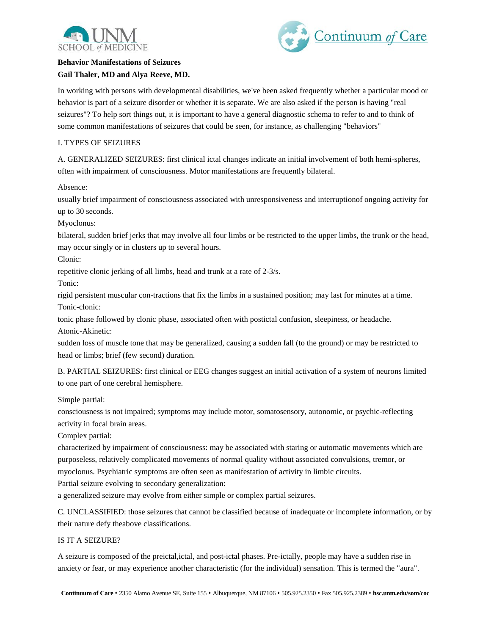



## **Behavior Manifestations of Seizures Gail Thaler, MD and Alya Reeve, MD.**

In working with persons with developmental disabilities, we've been asked frequently whether a particular mood or behavior is part of a seizure disorder or whether it is separate. We are also asked if the person is having "real seizures"? To help sort things out, it is important to have a general diagnostic schema to refer to and to think of some common manifestations of seizures that could be seen, for instance, as challenging "behaviors"

## I. TYPES OF SEIZURES

A. GENERALIZED SEIZURES: first clinical ictal changes indicate an initial involvement of both hemi-spheres, often with impairment of consciousness. Motor manifestations are frequently bilateral.

Absence:

usually brief impairment of consciousness associated with unresponsiveness and interruptionof ongoing activity for up to 30 seconds.

Myoclonus:

bilateral, sudden brief jerks that may involve all four limbs or be restricted to the upper limbs, the trunk or the head, may occur singly or in clusters up to several hours.

Clonic:

repetitive clonic jerking of all limbs, head and trunk at a rate of 2-3/s.

Tonic:

rigid persistent muscular con-tractions that fix the limbs in a sustained position; may last for minutes at a time. Tonic-clonic:

tonic phase followed by clonic phase, associated often with postictal confusion, sleepiness, or headache. Atonic-Akinetic:

sudden loss of muscle tone that may be generalized, causing a sudden fall (to the ground) or may be restricted to head or limbs; brief (few second) duration.

B. PARTIAL SEIZURES: first clinical or EEG changes suggest an initial activation of a system of neurons limited to one part of one cerebral hemisphere.

Simple partial:

consciousness is not impaired; symptoms may include motor, somatosensory, autonomic, or psychic-reflecting activity in focal brain areas.

Complex partial:

characterized by impairment of consciousness: may be associated with staring or automatic movements which are purposeless, relatively complicated movements of normal quality without associated convulsions, tremor, or myoclonus. Psychiatric symptoms are often seen as manifestation of activity in limbic circuits.

Partial seizure evolving to secondary generalization:

a generalized seizure may evolve from either simple or complex partial seizures.

C. UNCLASSIFIED: those seizures that cannot be classified because of inadequate or incomplete information, or by their nature defy theabove classifications.

## IS IT A SEIZURE?

A seizure is composed of the preictal,ictal, and post-ictal phases. Pre-ictally, people may have a sudden rise in anxiety or fear, or may experience another characteristic (for the individual) sensation. This is termed the "aura".